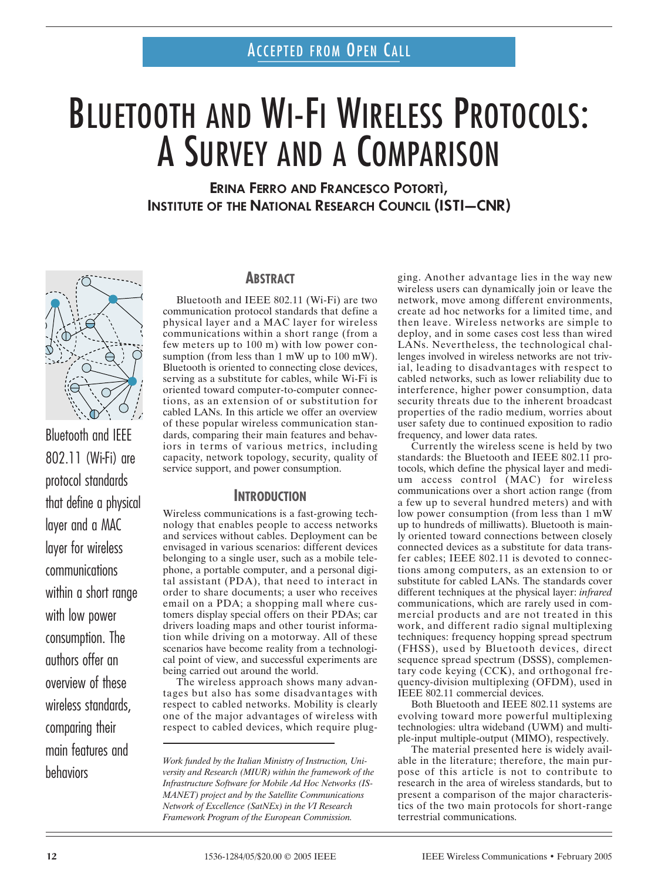# BLUETOOTH AND WI-FI WIRELESS PROTOCOLS: A SURVEY AND A COMPARISON

**ERINA FERRO AND FRANCESCO POTORTI`, INSTITUTE OF THE NATIONAL RESEARCH COUNCIL (ISTI—CNR)**



Bluetooth and IEEE 802.11 (Wi-Fi) are protocol standards that define a physical layer and a MAC layer for wireless communications within a short range with low power consumption. The authors offer an overview of these wireless standards, comparing their main features and behaviors

# **ABSTRACT**

Bluetooth and IEEE 802.11 (Wi-Fi) are two communication protocol standards that define a physical layer and a MAC layer for wireless communications within a short range (from a few meters up to 100 m) with low power consumption (from less than 1 mW up to 100 mW). Bluetooth is oriented to connecting close devices, serving as a substitute for cables, while Wi-Fi is oriented toward computer-to-computer connections, as an extension of or substitution for cabled LANs. In this article we offer an overview of these popular wireless communication standards, comparing their main features and behaviors in terms of various metrics, including capacity, network topology, security, quality of service support, and power consumption.

## **INTRODUCTION**

Wireless communications is a fast-growing technology that enables people to access networks and services without cables. Deployment can be envisaged in various scenarios: different devices belonging to a single user, such as a mobile telephone, a portable computer, and a personal digital assistant (PDA), that need to interact in order to share documents; a user who receives email on a PDA; a shopping mall where customers display special offers on their PDAs; car drivers loading maps and other tourist information while driving on a motorway. All of these scenarios have become reality from a technological point of view, and successful experiments are being carried out around the world.

The wireless approach shows many advantages but also has some disadvantages with respect to cabled networks. Mobility is clearly one of the major advantages of wireless with respect to cabled devices, which require plugging. Another advantage lies in the way new wireless users can dynamically join or leave the network, move among different environments, create ad hoc networks for a limited time, and then leave. Wireless networks are simple to deploy, and in some cases cost less than wired LANs. Nevertheless, the technological challenges involved in wireless networks are not trivial, leading to disadvantages with respect to cabled networks, such as lower reliability due to interference, higher power consumption, data security threats due to the inherent broadcast properties of the radio medium, worries about user safety due to continued exposition to radio frequency, and lower data rates.

Currently the wireless scene is held by two standards: the Bluetooth and IEEE 802.11 protocols, which define the physical layer and medium access control (MAC) for wireless communications over a short action range (from a few up to several hundred meters) and with low power consumption (from less than 1 mW up to hundreds of milliwatts). Bluetooth is mainly oriented toward connections between closely connected devices as a substitute for data transfer cables; IEEE 802.11 is devoted to connections among computers, as an extension to or substitute for cabled LANs. The standards cover different techniques at the physical layer: *infrared* communications, which are rarely used in commercial products and are not treated in this work, and different radio signal multiplexing techniques: frequency hopping spread spectrum (FHSS), used by Bluetooth devices, direct sequence spread spectrum (DSSS), complementary code keying (CCK), and orthogonal frequency-division multiplexing (OFDM), used in IEEE 802.11 commercial devices.

Both Bluetooth and IEEE 802.11 systems are evolving toward more powerful multiplexing technologies: ultra wideband (UWM) and multiple-input multiple-output (MIMO), respectively.

The material presented here is widely available in the literature; therefore, the main purpose of this article is not to contribute to research in the area of wireless standards, but to present a comparison of the major characteristics of the two main protocols for short-range terrestrial communications.

*Work funded by the Italian Ministry of Instruction, University and Research (MIUR) within the framework of the Infrastructure Software for Mobile Ad Hoc Networks (IS-MANET) project and by the Satellite Communications Network of Excellence (SatNEx) in the VI Research Framework Program of the European Commission.*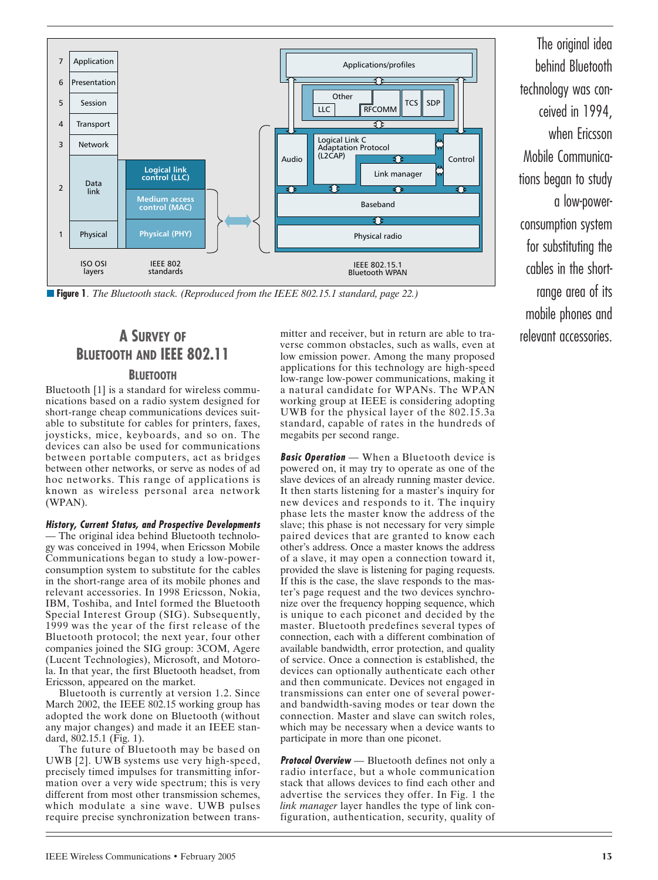

n **Figure 1**. *The Bluetooth stack. (Reproduced from the IEEE 802.15.1 standard, page 22.)*

# **A SURVEY OF BLUETOOTH AND IEEE 802.11**

#### **BLUETOOTH**

Bluetooth [1] is a standard for wireless communications based on a radio system designed for short-range cheap communications devices suitable to substitute for cables for printers, faxes, joysticks, mice, keyboards, and so on. The devices can also be used for communications between portable computers, act as bridges between other networks, or serve as nodes of ad hoc networks. This range of applications is known as wireless personal area network (WPAN).

### **History, Current Status, and Prospective Developments**

— The original idea behind Bluetooth technology was conceived in 1994, when Ericsson Mobile Communications began to study a low-powerconsumption system to substitute for the cables in the short-range area of its mobile phones and relevant accessories. In 1998 Ericsson, Nokia, IBM, Toshiba, and Intel formed the Bluetooth Special Interest Group (SIG). Subsequently, 1999 was the year of the first release of the Bluetooth protocol; the next year, four other companies joined the SIG group: 3COM, Agere (Lucent Technologies), Microsoft, and Motorola. In that year, the first Bluetooth headset, from Ericsson, appeared on the market.

Bluetooth is currently at version 1.2. Since March 2002, the IEEE 802.15 working group has adopted the work done on Bluetooth (without any major changes) and made it an IEEE standard, 802.15.1 (Fig. 1).

The future of Bluetooth may be based on UWB [2]. UWB systems use very high-speed, precisely timed impulses for transmitting information over a very wide spectrum; this is very different from most other transmission schemes, which modulate a sine wave. UWB pulses require precise synchronization between transmitter and receiver, but in return are able to traverse common obstacles, such as walls, even at low emission power. Among the many proposed applications for this technology are high-speed low-range low-power communications, making it a natural candidate for WPANs. The WPAN working group at IEEE is considering adopting UWB for the physical layer of the 802.15.3a standard, capable of rates in the hundreds of megabits per second range.

**Basic Operation** — When a Bluetooth device is powered on, it may try to operate as one of the slave devices of an already running master device. It then starts listening for a master's inquiry for new devices and responds to it. The inquiry phase lets the master know the address of the slave; this phase is not necessary for very simple paired devices that are granted to know each other's address. Once a master knows the address of a slave, it may open a connection toward it, provided the slave is listening for paging requests. If this is the case, the slave responds to the master's page request and the two devices synchronize over the frequency hopping sequence, which is unique to each piconet and decided by the master. Bluetooth predefines several types of connection, each with a different combination of available bandwidth, error protection, and quality of service. Once a connection is established, the devices can optionally authenticate each other and then communicate. Devices not engaged in transmissions can enter one of several powerand bandwidth-saving modes or tear down the connection. Master and slave can switch roles, which may be necessary when a device wants to participate in more than one piconet.

**Protocol Overview** — Bluetooth defines not only a radio interface, but a whole communication stack that allows devices to find each other and advertise the services they offer. In Fig. 1 the *link manager* layer handles the type of link configuration, authentication, security, quality of

The original idea behind Bluetooth technology was conceived in 1994, when Ericsson Mobile Communications began to study a low-powerconsumption system for substituting the cables in the shortrange area of its mobile phones and relevant accessories.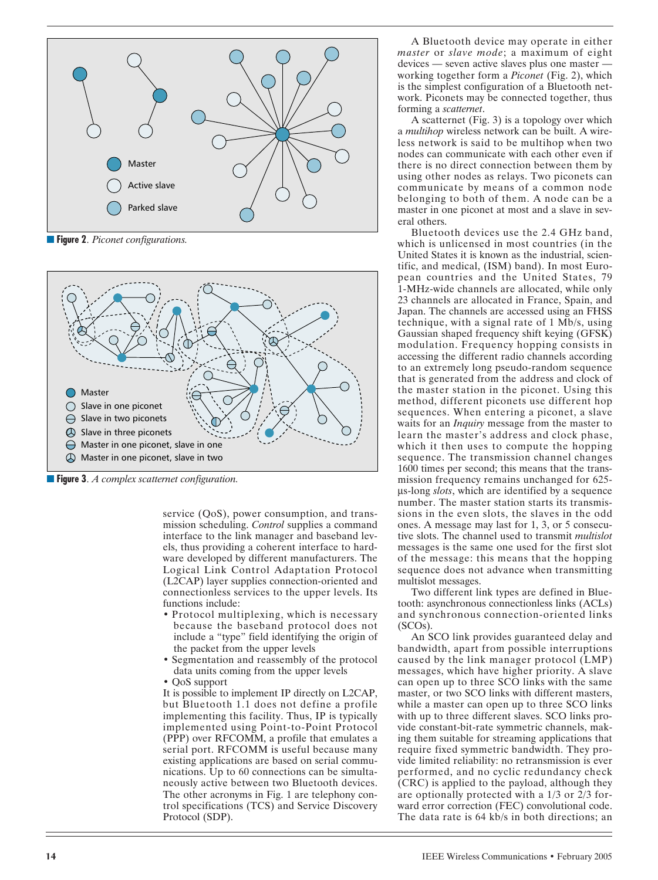

**■ Figure 2**. *Piconet configurations.* 



■ **Figure 3**. *A complex scatternet configuration.* 

service (QoS), power consumption, and transmission scheduling. *Control* supplies a command interface to the link manager and baseband levels, thus providing a coherent interface to hardware developed by different manufacturers. The Logical Link Control Adaptation Protocol (L2CAP) layer supplies connection-oriented and connectionless services to the upper levels. Its functions include:

- Protocol multiplexing, which is necessary because the baseband protocol does not include a "type" field identifying the origin of the packet from the upper levels
- Segmentation and reassembly of the protocol data units coming from the upper levels
- QoS support

It is possible to implement IP directly on L2CAP, but Bluetooth 1.1 does not define a profile implementing this facility. Thus, IP is typically implemented using Point-to-Point Protocol (PPP) over RFCOMM, a profile that emulates a serial port. RFCOMM is useful because many existing applications are based on serial communications. Up to 60 connections can be simultaneously active between two Bluetooth devices. The other acronyms in Fig. 1 are telephony control specifications (TCS) and Service Discovery Protocol (SDP).

A Bluetooth device may operate in either *master* or *slave mode*; a maximum of eight devices — seven active slaves plus one master working together form a *Piconet* (Fig. 2), which is the simplest configuration of a Bluetooth network. Piconets may be connected together, thus forming a *scatternet*.

A scatternet (Fig. 3) is a topology over which a *multihop* wireless network can be built. A wireless network is said to be multihop when two nodes can communicate with each other even if there is no direct connection between them by using other nodes as relays. Two piconets can communicate by means of a common node belonging to both of them. A node can be a master in one piconet at most and a slave in several others.

Bluetooth devices use the 2.4 GHz band, which is unlicensed in most countries (in the United States it is known as the industrial, scientific, and medical, (ISM) band). In most European countries and the United States, 79 1-MHz-wide channels are allocated, while only 23 channels are allocated in France, Spain, and Japan. The channels are accessed using an FHSS technique, with a signal rate of 1 Mb/s, using Gaussian shaped frequency shift keying (GFSK) modulation. Frequency hopping consists in accessing the different radio channels according to an extremely long pseudo-random sequence that is generated from the address and clock of the master station in the piconet. Using this method, different piconets use different hop sequences. When entering a piconet, a slave waits for an *Inquiry* message from the master to learn the master's address and clock phase, which it then uses to compute the hopping sequence. The transmission channel changes 1600 times per second; this means that the transmission frequency remains unchanged for 625 µs-long *slots*, which are identified by a sequence number. The master station starts its transmissions in the even slots, the slaves in the odd ones. A message may last for 1, 3, or 5 consecutive slots. The channel used to transmit *multislot* messages is the same one used for the first slot of the message: this means that the hopping sequence does not advance when transmitting multislot messages.

Two different link types are defined in Bluetooth: asynchronous connectionless links (ACLs) and synchronous connection-oriented links (SCOs).

An SCO link provides guaranteed delay and bandwidth, apart from possible interruptions caused by the link manager protocol (LMP) messages, which have higher priority. A slave can open up to three SCO links with the same master, or two SCO links with different masters, while a master can open up to three SCO links with up to three different slaves. SCO links provide constant-bit-rate symmetric channels, making them suitable for streaming applications that require fixed symmetric bandwidth. They provide limited reliability: no retransmission is ever performed, and no cyclic redundancy check (CRC) is applied to the payload, although they are optionally protected with a 1/3 or 2/3 forward error correction (FEC) convolutional code. The data rate is 64 kb/s in both directions; an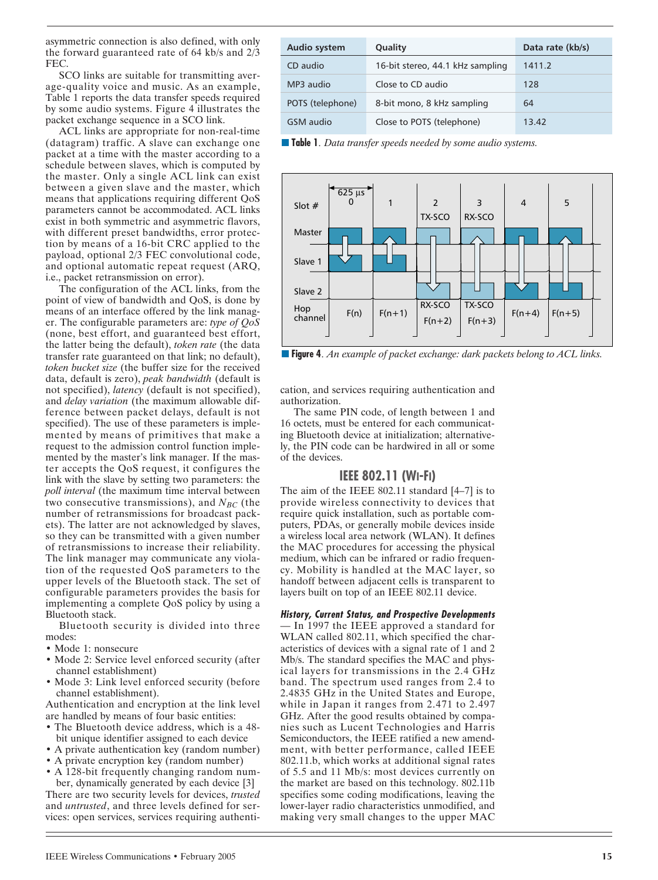asymmetric connection is also defined, with only the forward guaranteed rate of 64 kb/s and 2/3 **FEC.** 

SCO links are suitable for transmitting average-quality voice and music. As an example, Table 1 reports the data transfer speeds required by some audio systems. Figure 4 illustrates the packet exchange sequence in a SCO link.

ACL links are appropriate for non-real-time (datagram) traffic. A slave can exchange one packet at a time with the master according to a schedule between slaves, which is computed by the master. Only a single ACL link can exist between a given slave and the master, which means that applications requiring different QoS parameters cannot be accommodated. ACL links exist in both symmetric and asymmetric flavors, with different preset bandwidths, error protection by means of a 16-bit CRC applied to the payload, optional 2/3 FEC convolutional code, and optional automatic repeat request (ARQ, i.e., packet retransmission on error).

The configuration of the ACL links, from the point of view of bandwidth and QoS, is done by means of an interface offered by the link manager. The configurable parameters are: *type of QoS* (none, best effort, and guaranteed best effort, the latter being the default), *token rate* (the data transfer rate guaranteed on that link; no default), *token bucket size* (the buffer size for the received data, default is zero), *peak bandwidth* (default is not specified), *latency* (default is not specified), and *delay variation* (the maximum allowable difference between packet delays, default is not specified). The use of these parameters is implemented by means of primitives that make a request to the admission control function implemented by the master's link manager. If the master accepts the QoS request, it configures the link with the slave by setting two parameters: the *poll interval* (the maximum time interval between two consecutive transmissions), and  $N_{BC}$  (the number of retransmissions for broadcast packets). The latter are not acknowledged by slaves, so they can be transmitted with a given number of retransmissions to increase their reliability. The link manager may communicate any violation of the requested QoS parameters to the upper levels of the Bluetooth stack. The set of configurable parameters provides the basis for implementing a complete QoS policy by using a Bluetooth stack.

Bluetooth security is divided into three modes:

- Mode 1: nonsecure
- Mode 2: Service level enforced security (after channel establishment)
- Mode 3: Link level enforced security (before channel establishment).

Authentication and encryption at the link level are handled by means of four basic entities:

- The Bluetooth device address, which is a 48 bit unique identifier assigned to each device
- A private authentication key (random number)
- A private encryption key (random number)
- A 128-bit frequently changing random num-

ber, dynamically generated by each device [3] There are two security levels for devices, *trusted* and *untrusted*, and three levels defined for services: open services, services requiring authenti-

| Audio system     | Quality                          | Data rate (kb/s) |
|------------------|----------------------------------|------------------|
| CD audio         | 16-bit stereo, 44.1 kHz sampling | 1411.2           |
| MP3 audio        | Close to CD audio                | 128              |
| POTS (telephone) | 8-bit mono, 8 kHz sampling       | 64               |
| GSM audio        | Close to POTS (telephone)        | 13.42            |

■ **Table 1**. *Data transfer speeds needed by some audio systems.* 



■ **Figure 4**. *An example of packet exchange: dark packets belong to ACL links.* 

cation, and services requiring authentication and authorization.

The same PIN code, of length between 1 and 16 octets, must be entered for each communicating Bluetooth device at initialization; alternatively, the PIN code can be hardwired in all or some of the devices.

## **IEEE 802.11 (WI-FI)**

The aim of the IEEE 802.11 standard [4–7] is to provide wireless connectivity to devices that require quick installation, such as portable computers, PDAs, or generally mobile devices inside a wireless local area network (WLAN). It defines the MAC procedures for accessing the physical medium, which can be infrared or radio frequency. Mobility is handled at the MAC layer, so handoff between adjacent cells is transparent to layers built on top of an IEEE 802.11 device.

#### **History, Current Status, and Prospective Developments**

— In 1997 the IEEE approved a standard for WLAN called 802.11, which specified the characteristics of devices with a signal rate of 1 and 2 Mb/s. The standard specifies the MAC and physical layers for transmissions in the 2.4 GHz band. The spectrum used ranges from 2.4 to 2.4835 GHz in the United States and Europe, while in Japan it ranges from 2.471 to 2.497 GHz. After the good results obtained by companies such as Lucent Technologies and Harris Semiconductors, the IEEE ratified a new amendment, with better performance, called IEEE 802.11.b, which works at additional signal rates of 5.5 and 11 Mb/s: most devices currently on the market are based on this technology. 802.11b specifies some coding modifications, leaving the lower-layer radio characteristics unmodified, and making very small changes to the upper MAC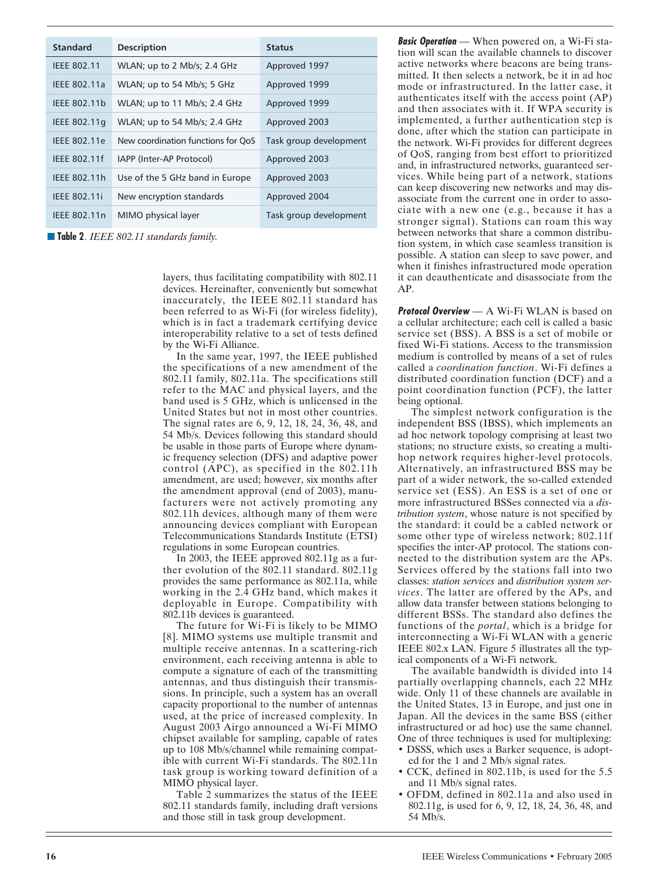| <b>Standard</b>     | <b>Description</b>                 | <b>Status</b>          |
|---------------------|------------------------------------|------------------------|
| <b>IEEE 802.11</b>  | WLAN; up to 2 Mb/s; 2.4 GHz        | Approved 1997          |
| <b>IEEE 802.11a</b> | WLAN; up to 54 Mb/s; 5 GHz         | Approved 1999          |
| IEEE 802.11b        | WLAN; up to 11 Mb/s; 2.4 GHz       | Approved 1999          |
| IEEE 802.11q        | WLAN; up to 54 Mb/s; 2.4 GHz       | Approved 2003          |
| IEEE 802.11e        | New coordination functions for QoS | Task group development |
| <b>IFFF 802.11f</b> | IAPP (Inter-AP Protocol)           | Approved 2003          |
| IEEE 802.11h        | Use of the 5 GHz band in Europe    | Approved 2003          |
| <b>IEEE 802.11i</b> | New encryption standards           | Approved 2004          |
| IEEE 802.11n        | MIMO physical layer                | Task group development |

■ Table 2. *IEEE 802.11 standards family*.

layers, thus facilitating compatibility with 802.11 devices. Hereinafter, conveniently but somewhat inaccurately, the IEEE 802.11 standard has been referred to as Wi-Fi (for wireless fidelity), which is in fact a trademark certifying device interoperability relative to a set of tests defined by the Wi-Fi Alliance.

In the same year, 1997, the IEEE published the specifications of a new amendment of the 802.11 family, 802.11a. The specifications still refer to the MAC and physical layers, and the band used is 5 GHz, which is unlicensed in the United States but not in most other countries. The signal rates are 6, 9, 12, 18, 24, 36, 48, and 54 Mb/s. Devices following this standard should be usable in those parts of Europe where dynamic frequency selection (DFS) and adaptive power control (APC), as specified in the 802.11h amendment, are used; however, six months after the amendment approval (end of 2003), manufacturers were not actively promoting any 802.11h devices, although many of them were announcing devices compliant with European Telecommunications Standards Institute (ETSI) regulations in some European countries.

In 2003, the IEEE approved 802.11g as a further evolution of the 802.11 standard. 802.11g provides the same performance as 802.11a, while working in the 2.4 GHz band, which makes it deployable in Europe. Compatibility with 802.11b devices is guaranteed.

The future for Wi-Fi is likely to be MIMO [8]. MIMO systems use multiple transmit and multiple receive antennas. In a scattering-rich environment, each receiving antenna is able to compute a signature of each of the transmitting antennas, and thus distinguish their transmissions. In principle, such a system has an overall capacity proportional to the number of antennas used, at the price of increased complexity. In August 2003 Airgo announced a Wi-Fi MIMO chipset available for sampling, capable of rates up to 108 Mb/s/channel while remaining compatible with current Wi-Fi standards. The 802.11n task group is working toward definition of a MIMO physical layer.

Table 2 summarizes the status of the IEEE 802.11 standards family, including draft versions and those still in task group development.

**Basic Operation** — When powered on, a Wi-Fi station will scan the available channels to discover active networks where beacons are being transmitted. It then selects a network, be it in ad hoc mode or infrastructured. In the latter case, it authenticates itself with the access point (AP) and then associates with it. If WPA security is implemented, a further authentication step is done, after which the station can participate in the network. Wi-Fi provides for different degrees of QoS, ranging from best effort to prioritized and, in infrastructured networks, guaranteed services. While being part of a network, stations can keep discovering new networks and may disassociate from the current one in order to associate with a new one (e.g., because it has a stronger signal). Stations can roam this way between networks that share a common distribution system, in which case seamless transition is possible. A station can sleep to save power, and when it finishes infrastructured mode operation it can deauthenticate and disassociate from the AP.

**Protocol Overview** — A Wi-Fi WLAN is based on a cellular architecture; each cell is called a basic service set (BSS). A BSS is a set of mobile or fixed Wi-Fi stations. Access to the transmission medium is controlled by means of a set of rules called a *coordination function*. Wi-Fi defines a distributed coordination function (DCF) and a point coordination function (PCF), the latter being optional.

The simplest network configuration is the independent BSS (IBSS), which implements an ad hoc network topology comprising at least two stations; no structure exists, so creating a multihop network requires higher-level protocols. Alternatively, an infrastructured BSS may be part of a wider network, the so-called extended service set (ESS). An ESS is a set of one or more infrastructured BSSes connected via a *distribution system*, whose nature is not specified by the standard: it could be a cabled network or some other type of wireless network; 802.11f specifies the inter-AP protocol. The stations connected to the distribution system are the APs. Services offered by the stations fall into two classes: *station services* and *distribution system services*. The latter are offered by the APs, and allow data transfer between stations belonging to different BSSs. The standard also defines the functions of the *portal*, which is a bridge for interconnecting a Wi-Fi WLAN with a generic IEEE 802.x LAN. Figure 5 illustrates all the typical components of a Wi-Fi network.

The available bandwidth is divided into 14 partially overlapping channels, each 22 MHz wide. Only 11 of these channels are available in the United States, 13 in Europe, and just one in Japan. All the devices in the same BSS (either infrastructured or ad hoc) use the same channel. One of three techniques is used for multiplexing:

- DSSS, which uses a Barker sequence, is adopted for the 1 and 2 Mb/s signal rates.
- CCK, defined in 802.11b, is used for the 5.5 and 11 Mb/s signal rates.
- OFDM, defined in 802.11a and also used in 802.11g, is used for 6, 9, 12, 18, 24, 36, 48, and 54 Mb/s.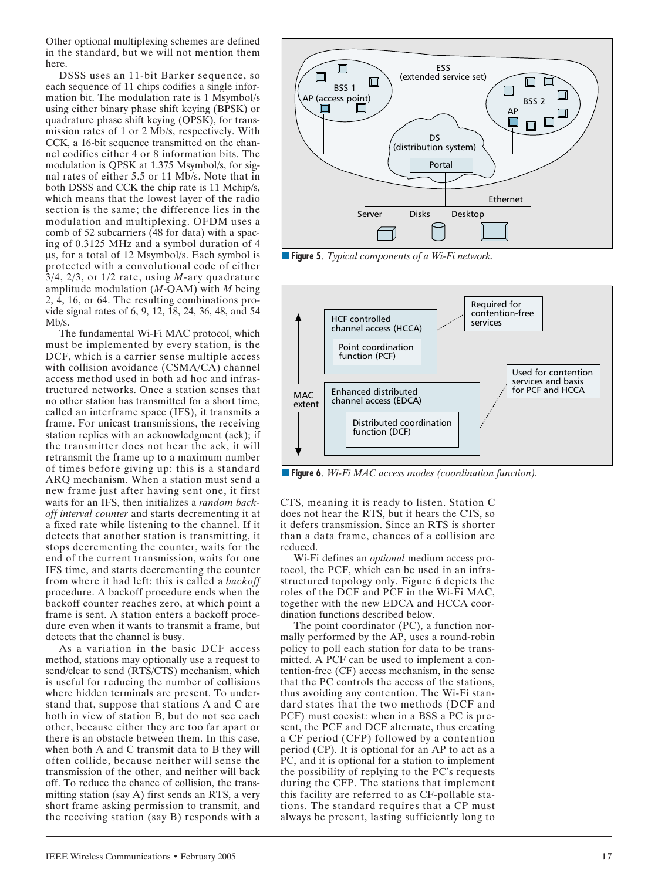Other optional multiplexing schemes are defined in the standard, but we will not mention them here.

DSSS uses an 11-bit Barker sequence, so each sequence of 11 chips codifies a single information bit. The modulation rate is 1 Msymbol/s using either binary phase shift keying (BPSK) or quadrature phase shift keying (QPSK), for transmission rates of 1 or 2 Mb/s, respectively. With CCK, a 16-bit sequence transmitted on the channel codifies either 4 or 8 information bits. The modulation is QPSK at 1.375 Msymbol/s, for signal rates of either 5.5 or 11 Mb/s. Note that in both DSSS and CCK the chip rate is 11 Mchip/s, which means that the lowest layer of the radio section is the same; the difference lies in the modulation and multiplexing. OFDM uses a comb of 52 subcarriers (48 for data) with a spacing of 0.3125 MHz and a symbol duration of 4 µs, for a total of 12 Msymbol/s. Each symbol is protected with a convolutional code of either 3/4, 2/3, or 1/2 rate, using *M*-ary quadrature amplitude modulation (*M*-QAM) with *M* being 2, 4, 16, or 64. The resulting combinations provide signal rates of 6, 9, 12, 18, 24, 36, 48, and 54 Mb/s.

The fundamental Wi-Fi MAC protocol, which must be implemented by every station, is the DCF, which is a carrier sense multiple access with collision avoidance (CSMA/CA) channel access method used in both ad hoc and infrastructured networks. Once a station senses that no other station has transmitted for a short time, called an interframe space (IFS), it transmits a frame. For unicast transmissions, the receiving station replies with an acknowledgment (ack); if the transmitter does not hear the ack, it will retransmit the frame up to a maximum number of times before giving up: this is a standard ARQ mechanism. When a station must send a new frame just after having sent one, it first waits for an IFS, then initializes a *random backoff interval counter* and starts decrementing it at a fixed rate while listening to the channel. If it detects that another station is transmitting, it stops decrementing the counter, waits for the end of the current transmission, waits for one IFS time, and starts decrementing the counter from where it had left: this is called a *backoff* procedure. A backoff procedure ends when the backoff counter reaches zero, at which point a frame is sent. A station enters a backoff procedure even when it wants to transmit a frame, but detects that the channel is busy.

As a variation in the basic DCF access method, stations may optionally use a request to send/clear to send (RTS/CTS) mechanism, which is useful for reducing the number of collisions where hidden terminals are present. To understand that, suppose that stations A and C are both in view of station B, but do not see each other, because either they are too far apart or there is an obstacle between them. In this case, when both A and C transmit data to B they will often collide, because neither will sense the transmission of the other, and neither will back off. To reduce the chance of collision, the transmitting station (say A) first sends an RTS, a very short frame asking permission to transmit, and the receiving station (say B) responds with a



■ **Figure 5**. *Typical components of a Wi-Fi network*.



■ **Figure 6**. *Wi-Fi MAC access modes (coordination function)*.

CTS, meaning it is ready to listen. Station C does not hear the RTS, but it hears the CTS, so it defers transmission. Since an RTS is shorter than a data frame, chances of a collision are reduced.

Wi-Fi defines an *optional* medium access protocol, the PCF, which can be used in an infrastructured topology only. Figure 6 depicts the roles of the DCF and PCF in the Wi-Fi MAC, together with the new EDCA and HCCA coordination functions described below.

The point coordinator (PC), a function normally performed by the AP, uses a round-robin policy to poll each station for data to be transmitted. A PCF can be used to implement a contention-free (CF) access mechanism, in the sense that the PC controls the access of the stations, thus avoiding any contention. The Wi-Fi standard states that the two methods (DCF and PCF) must coexist: when in a BSS a PC is present, the PCF and DCF alternate, thus creating a CF period (CFP) followed by a contention period (CP). It is optional for an AP to act as a PC, and it is optional for a station to implement the possibility of replying to the PC's requests during the CFP. The stations that implement this facility are referred to as CF-pollable stations. The standard requires that a CP must always be present, lasting sufficiently long to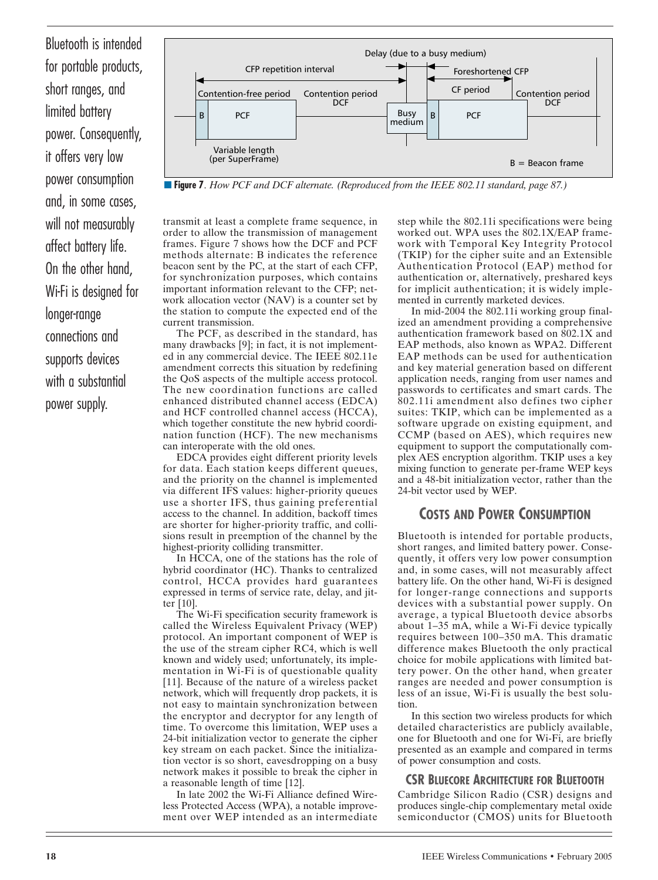Bluetooth is intended for portable products, short ranges, and limited battery power. Consequently, it offers very low power consumption and, in some cases, will not measurably affect battery life. On the other hand, Wi-Fi is designed for longer-range connections and supports devices with a substantial power supply.



n **Figure 7**. *How PCF and DCF alternate. (Reproduced from the IEEE 802.11 standard, page 87.)*

transmit at least a complete frame sequence, in order to allow the transmission of management frames. Figure 7 shows how the DCF and PCF methods alternate: B indicates the reference beacon sent by the PC, at the start of each CFP, for synchronization purposes, which contains important information relevant to the CFP; network allocation vector (NAV) is a counter set by the station to compute the expected end of the current transmission.

The PCF, as described in the standard, has many drawbacks [9]; in fact, it is not implemented in any commercial device. The IEEE 802.11e amendment corrects this situation by redefining the QoS aspects of the multiple access protocol. The new coordination functions are called enhanced distributed channel access (EDCA) and HCF controlled channel access (HCCA), which together constitute the new hybrid coordination function (HCF). The new mechanisms can interoperate with the old ones.

EDCA provides eight different priority levels for data. Each station keeps different queues, and the priority on the channel is implemented via different IFS values: higher-priority queues use a shorter IFS, thus gaining preferential access to the channel. In addition, backoff times are shorter for higher-priority traffic, and collisions result in preemption of the channel by the highest-priority colliding transmitter.

In HCCA, one of the stations has the role of hybrid coordinator (HC). Thanks to centralized control, HCCA provides hard guarantees expressed in terms of service rate, delay, and jitter [10].

The Wi-Fi specification security framework is called the Wireless Equivalent Privacy (WEP) protocol. An important component of WEP is the use of the stream cipher RC4, which is well known and widely used; unfortunately, its implementation in Wi-Fi is of questionable quality [11]. Because of the nature of a wireless packet network, which will frequently drop packets, it is not easy to maintain synchronization between the encryptor and decryptor for any length of time. To overcome this limitation, WEP uses a 24-bit initialization vector to generate the cipher key stream on each packet. Since the initialization vector is so short, eavesdropping on a busy network makes it possible to break the cipher in a reasonable length of time [12].

In late 2002 the Wi-Fi Alliance defined Wireless Protected Access (WPA), a notable improvement over WEP intended as an intermediate step while the 802.11i specifications were being worked out. WPA uses the 802.1X/EAP framework with Temporal Key Integrity Protocol (TKIP) for the cipher suite and an Extensible Authentication Protocol (EAP) method for authentication or, alternatively, preshared keys for implicit authentication; it is widely implemented in currently marketed devices.

In mid-2004 the 802.11i working group finalized an amendment providing a comprehensive authentication framework based on 802.1X and EAP methods, also known as WPA2. Different EAP methods can be used for authentication and key material generation based on different application needs, ranging from user names and passwords to certificates and smart cards. The 802.11i amendment also defines two cipher suites: TKIP, which can be implemented as a software upgrade on existing equipment, and CCMP (based on AES), which requires new equipment to support the computationally complex AES encryption algorithm. TKIP uses a key mixing function to generate per-frame WEP keys and a 48-bit initialization vector, rather than the 24-bit vector used by WEP.

## **COSTS AND POWER CONSUMPTION**

Bluetooth is intended for portable products, short ranges, and limited battery power. Consequently, it offers very low power consumption and, in some cases, will not measurably affect battery life. On the other hand, Wi-Fi is designed for longer-range connections and supports devices with a substantial power supply. On average, a typical Bluetooth device absorbs about 1–35 mA, while a Wi-Fi device typically requires between 100–350 mA. This dramatic difference makes Bluetooth the only practical choice for mobile applications with limited battery power. On the other hand, when greater ranges are needed and power consumption is less of an issue, Wi-Fi is usually the best solution.

In this section two wireless products for which detailed characteristics are publicly available, one for Bluetooth and one for Wi-Fi, are briefly presented as an example and compared in terms of power consumption and costs.

## **CSR BLUECORE ARCHITECTURE FOR BLUETOOTH**

Cambridge Silicon Radio (CSR) designs and produces single-chip complementary metal oxide semiconductor (CMOS) units for Bluetooth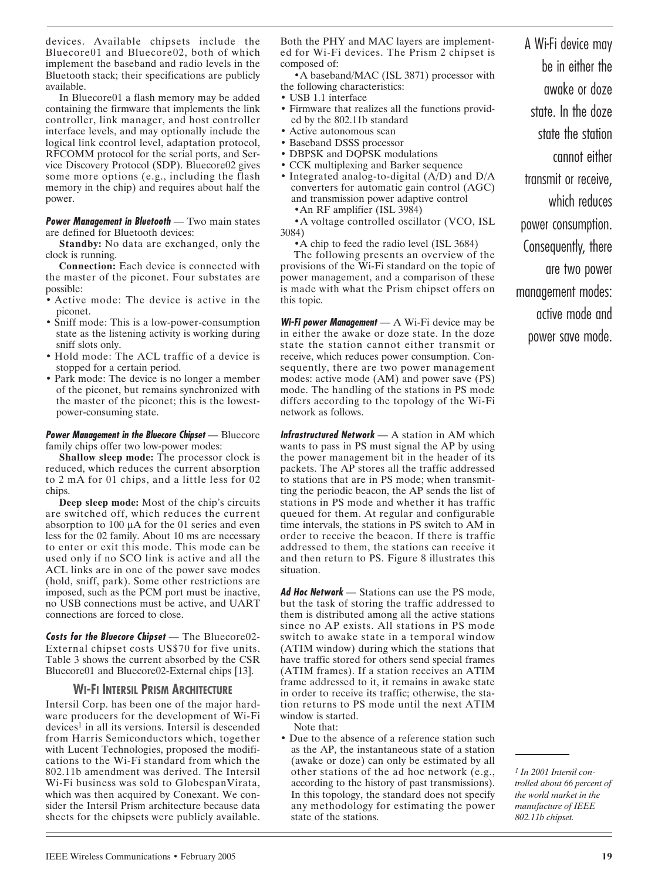devices. Available chipsets include the Bluecore01 and Bluecore02, both of which implement the baseband and radio levels in the Bluetooth stack; their specifications are publicly available.

In Bluecore01 a flash memory may be added containing the firmware that implements the link controller, link manager, and host controller interface levels, and may optionally include the logical link ccontrol level, adaptation protocol, RFCOMM protocol for the serial ports, and Service Discovery Protocol (SDP). Bluecore02 gives some more options (e.g., including the flash memory in the chip) and requires about half the power.

**Power Management in Bluetooth** — Two main states are defined for Bluetooth devices:

**Standby:** No data are exchanged, only the clock is running.

**Connection:** Each device is connected with the master of the piconet. Four substates are possible:

- Active mode: The device is active in the piconet.
- Sniff mode: This is a low-power-consumption state as the listening activity is working during sniff slots only.
- Hold mode: The ACL traffic of a device is stopped for a certain period.
- Park mode: The device is no longer a member of the piconet, but remains synchronized with the master of the piconet; this is the lowestpower-consuming state.

#### **Power Management in the Bluecore Chipset** — Bluecore family chips offer two low-power modes:

**Shallow sleep mode:** The processor clock is reduced, which reduces the current absorption to 2 mA for 01 chips, and a little less for 02 chips.

**Deep sleep mode:** Most of the chip's circuits are switched off, which reduces the current absorption to 100 µA for the 01 series and even less for the 02 family. About 10 ms are necessary to enter or exit this mode. This mode can be used only if no SCO link is active and all the ACL links are in one of the power save modes (hold, sniff, park). Some other restrictions are imposed, such as the PCM port must be inactive, no USB connections must be active, and UART connections are forced to close.

**Costs for the Bluecore Chipset** — The Bluecore02- External chipset costs US\$70 for five units. Table 3 shows the current absorbed by the CSR Bluecore01 and Bluecore02-External chips [13].

## **WI-FI INTERSIL PRISM ARCHITECTURE**

Intersil Corp. has been one of the major hardware producers for the development of Wi-Fi devices<sup>1</sup> in all its versions. Intersil is descended from Harris Semiconductors which, together with Lucent Technologies, proposed the modifications to the Wi-Fi standard from which the 802.11b amendment was derived. The Intersil Wi-Fi business was sold to GlobespanVirata, which was then acquired by Conexant. We consider the Intersil Prism architecture because data sheets for the chipsets were publicly available.

Both the PHY and MAC layers are implemented for Wi-Fi devices. The Prism 2 chipset is composed of:

•A baseband/MAC (ISL 3871) processor with the following characteristics:

- USB 1.1 interface
- Firmware that realizes all the functions provided by the 802.11b standard
- Active autonomous scan
- Baseband DSSS processor
- DBPSK and DQPSK modulations
- CCK multiplexing and Barker sequence
- Integrated analog-to-digital (A/D) and D/A converters for automatic gain control (AGC) and transmission power adaptive control •An RF amplifier (ISL 3984)

•A voltage controlled oscillator (VCO, ISL 3084)

•A chip to feed the radio level (ISL 3684)

The following presents an overview of the provisions of the Wi-Fi standard on the topic of power management, and a comparison of these is made with what the Prism chipset offers on this topic.

**Wi-Fi power Management** — A Wi-Fi device may be in either the awake or doze state. In the doze state the station cannot either transmit or receive, which reduces power consumption. Consequently, there are two power management modes: active mode (AM) and power save (PS) mode. The handling of the stations in PS mode differs according to the topology of the Wi-Fi network as follows.

**Infrastructured Network** — A station in AM which wants to pass in PS must signal the AP by using the power management bit in the header of its packets. The AP stores all the traffic addressed to stations that are in PS mode; when transmitting the periodic beacon, the AP sends the list of stations in PS mode and whether it has traffic queued for them. At regular and configurable time intervals, the stations in PS switch to AM in order to receive the beacon. If there is traffic addressed to them, the stations can receive it and then return to PS. Figure 8 illustrates this situation.

**Ad Hoc Network** — Stations can use the PS mode, but the task of storing the traffic addressed to them is distributed among all the active stations since no AP exists. All stations in PS mode switch to awake state in a temporal window (ATIM window) during which the stations that have traffic stored for others send special frames (ATIM frames). If a station receives an ATIM frame addressed to it, it remains in awake state in order to receive its traffic; otherwise, the station returns to PS mode until the next ATIM window is started.

Note that:

• Due to the absence of a reference station such as the AP, the instantaneous state of a station (awake or doze) can only be estimated by all other stations of the ad hoc network (e.g., according to the history of past transmissions). In this topology, the standard does not specify any methodology for estimating the power state of the stations.

A Wi-Fi device may be in either the awake or doze state. In the doze state the station cannot either transmit or receive, which reduces power consumption. Consequently, there are two power management modes: active mode and power save mode.

*<sup>1</sup> In 2001 Intersil controlled about 66 percent of the world market in the manufacture of IEEE 802.11b chipset.*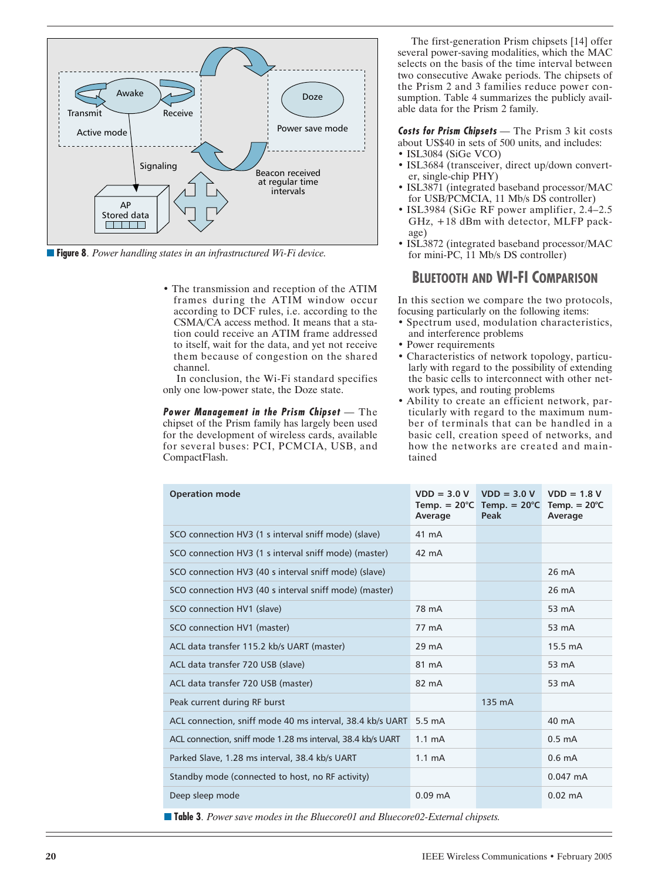

n **Figure 8**. *Power handling states in an infrastructured Wi-Fi device.*

• The transmission and reception of the ATIM frames during the ATIM window occur according to DCF rules, i.e. according to the CSMA/CA access method. It means that a station could receive an ATIM frame addressed to itself, wait for the data, and yet not receive them because of congestion on the shared channel.

In conclusion, the Wi-Fi standard specifies only one low-power state, the Doze state.

**Power Management in the Prism Chipset** — The chipset of the Prism family has largely been used for the development of wireless cards, available for several buses: PCI, PCMCIA, USB, and CompactFlash.

The first-generation Prism chipsets [14] offer several power-saving modalities, which the MAC selects on the basis of the time interval between two consecutive Awake periods. The chipsets of the Prism 2 and 3 families reduce power consumption. Table 4 summarizes the publicly available data for the Prism 2 family.

**Costs for Prism Chipsets** — The Prism 3 kit costs about US\$40 in sets of 500 units, and includes:

- ISL3084 (SiGe VCO)
- ISL3684 (transceiver, direct up/down converter, single-chip PHY)
- ISL3871 (integrated baseband processor/MAC for USB/PCMCIA, 11 Mb/s DS controller)
- ISL3984 (SiGe RF power amplifier, 2.4–2.5) GHz, +18 dBm with detector, MLFP package)
- ISL3872 (integrated baseband processor/MAC for mini-PC, 11 Mb/s DS controller)

## **BLUETOOTH AND WI-FI COMPARISON**

In this section we compare the two protocols, focusing particularly on the following items:

- Spectrum used, modulation characteristics, and interference problems
- Power requirements
- Characteristics of network topology, particularly with regard to the possibility of extending the basic cells to interconnect with other network types, and routing problems
- Ability to create an efficient network, particularly with regard to the maximum number of terminals that can be handled in a basic cell, creation speed of networks, and how the networks are created and maintained

| <b>Operation mode</b>                                       | Average          | $VDD = 3.0 V$ $VDD = 3.0 V$<br>Temp. = $20^{\circ}$ C Temp. = $20^{\circ}$ C Temp. = $20^{\circ}$ C<br>Peak | $VDD = 1.8 V$<br>Average |
|-------------------------------------------------------------|------------------|-------------------------------------------------------------------------------------------------------------|--------------------------|
| SCO connection HV3 (1 s interval sniff mode) (slave)        | 41 mA            |                                                                                                             |                          |
| SCO connection HV3 (1 s interval sniff mode) (master)       | 42 mA            |                                                                                                             |                          |
| SCO connection HV3 (40 s interval sniff mode) (slave)       |                  |                                                                                                             | $26 \text{ mA}$          |
| SCO connection HV3 (40 s interval sniff mode) (master)      |                  |                                                                                                             | $26 \text{ mA}$          |
| SCO connection HV1 (slave)                                  | 78 mA            |                                                                                                             | 53 mA                    |
| SCO connection HV1 (master)                                 | 77 mA            |                                                                                                             | 53 mA                    |
| ACL data transfer 115.2 kb/s UART (master)                  | 29 <sub>mA</sub> |                                                                                                             | $15.5 \text{ mA}$        |
| ACL data transfer 720 USB (slave)                           | 81 mA            |                                                                                                             | 53 mA                    |
| ACL data transfer 720 USB (master)                          | 82 mA            |                                                                                                             | 53 mA                    |
| Peak current during RF burst                                |                  | 135 mA                                                                                                      |                          |
| ACL connection, sniff mode 40 ms interval, 38.4 kb/s UART   | $5.5 \text{ mA}$ |                                                                                                             | 40 mA                    |
| ACL connection, sniff mode 1.28 ms interval, 38.4 kb/s UART | $1.1 \text{ mA}$ |                                                                                                             | 0.5 <sub>mA</sub>        |
| Parked Slave, 1.28 ms interval, 38.4 kb/s UART              | $1.1 \text{ mA}$ |                                                                                                             | 0.6 <sub>mA</sub>        |
| Standby mode (connected to host, no RF activity)            |                  |                                                                                                             | $0.047 \text{ mA}$       |
| Deep sleep mode                                             | $0.09$ mA        |                                                                                                             | $0.02 \text{ mA}$        |

■ **Table 3**. *Power save modes in the Bluecore01 and Bluecore02-External chipsets.*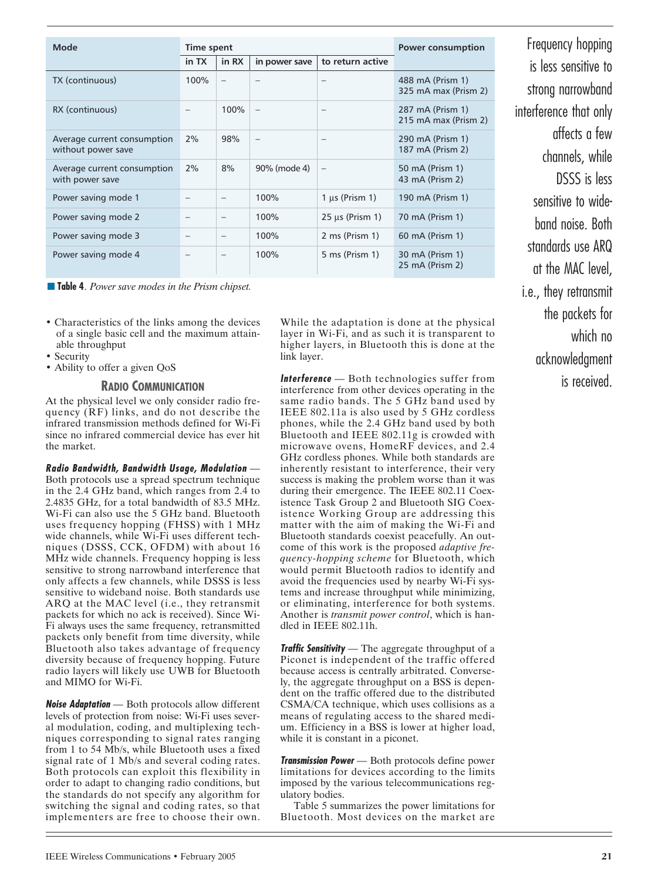| Mode                                              | Time spent |                          |                          |                          | <b>Power consumption</b>                 |  |
|---------------------------------------------------|------------|--------------------------|--------------------------|--------------------------|------------------------------------------|--|
|                                                   | in TX      | in RX                    | in power save            | to return active         |                                          |  |
| TX (continuous)                                   | 100%       | $\overline{\phantom{0}}$ |                          |                          | 488 mA (Prism 1)<br>325 mA max (Prism 2) |  |
| RX (continuous)                                   |            | 100%                     | $\overline{\phantom{0}}$ | $\overline{\phantom{0}}$ | 287 mA (Prism 1)<br>215 mA max (Prism 2) |  |
| Average current consumption<br>without power save | 2%         | 98%                      | $\overline{\phantom{0}}$ | $\overline{\phantom{0}}$ | 290 mA (Prism 1)<br>187 mA (Prism 2)     |  |
| Average current consumption<br>with power save    | 2%         | 8%                       | 90% (mode 4)             | $\qquad \qquad -$        | 50 mA (Prism 1)<br>43 mA (Prism 2)       |  |
| Power saving mode 1                               |            | $\overline{\phantom{0}}$ | 100%                     | $1 \mu s$ (Prism 1)      | 190 mA (Prism 1)                         |  |
| Power saving mode 2                               |            |                          | 100%                     | $25 \mu s$ (Prism 1)     | 70 mA (Prism 1)                          |  |
| Power saving mode 3                               |            |                          | 100%                     | 2 ms (Prism 1)           | 60 mA (Prism 1)                          |  |
| Power saving mode 4                               |            | $\overline{\phantom{0}}$ | 100%                     | 5 ms (Prism 1)           | 30 mA (Prism 1)<br>25 mA (Prism 2)       |  |

■ **Table 4**. *Power save modes in the Prism chipset.* 

- Characteristics of the links among the devices of a single basic cell and the maximum attainable throughput
- Security
- Ability to offer a given QoS

## **RADIO COMMUNICATION**

At the physical level we only consider radio frequency (RF) links, and do not describe the infrared transmission methods defined for Wi-Fi since no infrared commercial device has ever hit the market.

**Radio Bandwidth, Bandwidth Usage, Modulation** — Both protocols use a spread spectrum technique in the 2.4 GHz band, which ranges from 2.4 to 2.4835 GHz, for a total bandwidth of 83.5 MHz. Wi-Fi can also use the 5 GHz band. Bluetooth uses frequency hopping (FHSS) with 1 MHz wide channels, while Wi-Fi uses different techniques (DSSS, CCK, OFDM) with about 16 MHz wide channels. Frequency hopping is less sensitive to strong narrowband interference that only affects a few channels, while DSSS is less sensitive to wideband noise. Both standards use ARQ at the MAC level (i.e., they retransmit packets for which no ack is received). Since Wi-Fi always uses the same frequency, retransmitted packets only benefit from time diversity, while Bluetooth also takes advantage of frequency diversity because of frequency hopping. Future radio layers will likely use UWB for Bluetooth and MIMO for Wi-Fi.

**Noise Adaptation** — Both protocols allow different levels of protection from noise: Wi-Fi uses several modulation, coding, and multiplexing techniques corresponding to signal rates ranging from 1 to 54 Mb/s, while Bluetooth uses a fixed signal rate of 1 Mb/s and several coding rates. Both protocols can exploit this flexibility in order to adapt to changing radio conditions, but the standards do not specify any algorithm for switching the signal and coding rates, so that implementers are free to choose their own.

While the adaptation is done at the physical layer in Wi-Fi, and as such it is transparent to higher layers, in Bluetooth this is done at the link layer.

**Interference** — Both technologies suffer from interference from other devices operating in the same radio bands. The 5 GHz band used by IEEE 802.11a is also used by 5 GHz cordless phones, while the 2.4 GHz band used by both Bluetooth and IEEE 802.11g is crowded with microwave ovens, HomeRF devices, and 2.4 GHz cordless phones. While both standards are inherently resistant to interference, their very success is making the problem worse than it was during their emergence. The IEEE 802.11 Coexistence Task Group 2 and Bluetooth SIG Coexistence Working Group are addressing this matter with the aim of making the Wi-Fi and Bluetooth standards coexist peacefully. An outcome of this work is the proposed *adaptive frequency-hopping scheme* for Bluetooth, which would permit Bluetooth radios to identify and avoid the frequencies used by nearby Wi-Fi systems and increase throughput while minimizing, or eliminating, interference for both systems. Another is *transmit power control*, which is handled in IEEE 802.11h.

**Traffic Sensitivity** — The aggregate throughput of a Piconet is independent of the traffic offered because access is centrally arbitrated. Conversely, the aggregate throughput on a BSS is dependent on the traffic offered due to the distributed CSMA/CA technique, which uses collisions as a means of regulating access to the shared medium. Efficiency in a BSS is lower at higher load, while it is constant in a piconet.

**Transmission Power** — Both protocols define power limitations for devices according to the limits imposed by the various telecommunications regulatory bodies.

Table 5 summarizes the power limitations for Bluetooth. Most devices on the market are

Frequency hopping is less sensitive to strong narrowband interference that only affects a few channels, while DSSS is less sensitive to wideband noise. Both standards use ARQ at the MAC level, i.e., they retransmit the packets for which no acknowledgment is received.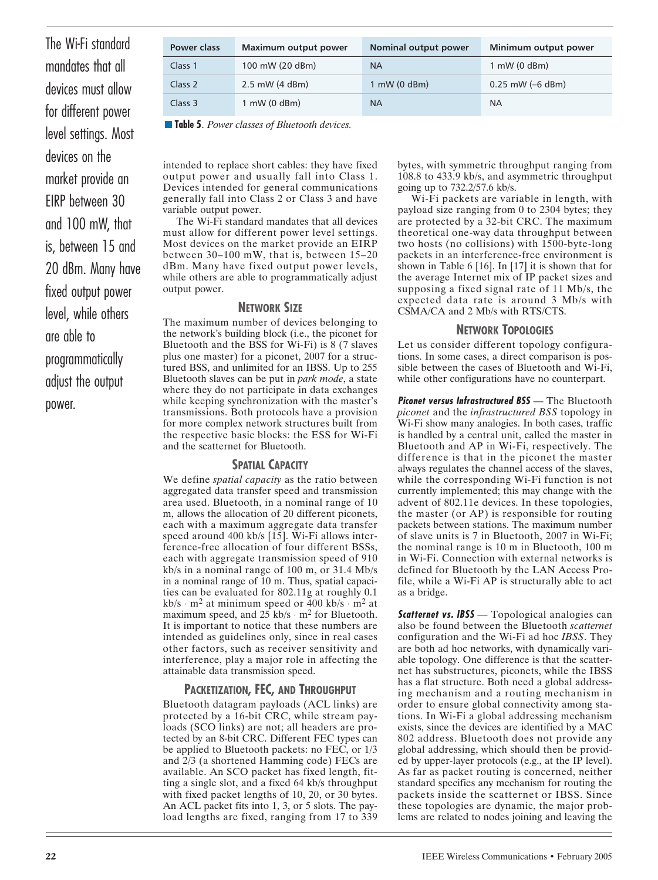| dard | Power class | Maximum output power | Nominal output power | Minimum output power |
|------|-------------|----------------------|----------------------|----------------------|
| all  | Class 1     | 100 mW (20 dBm)      | <b>NA</b>            | $1$ mW (0 dBm)       |
| llow | Class 2     | $2.5$ mW (4 dBm)     | $mW(0$ dBm)          | $0.25$ mW (-6 dBm)   |
| ıwer | Class 3     | 1 mW (0 dBm)         | <b>NA</b>            | <b>NA</b>            |
|      | _______     |                      |                      |                      |

**■ Table 5**. *Power classes of Bluetooth devices.* 

intended to replace short cables: they have fixed output power and usually fall into Class 1. Devices intended for general communications generally fall into Class 2 or Class 3 and have variable output power.

The Wi-Fi standard mandates that all devices must allow for different power level settings. Most devices on the market provide an EIRP between 30–100 mW, that is, between 15–20 dBm. Many have fixed output power levels, while others are able to programmatically adjust output power.

## **NETWORK SIZE**

The maximum number of devices belonging to the network's building block (i.e., the piconet for Bluetooth and the BSS for Wi-Fi) is 8 (7 slaves plus one master) for a piconet, 2007 for a structured BSS, and unlimited for an IBSS. Up to 255 Bluetooth slaves can be put in *park mode*, a state where they do not participate in data exchanges while keeping synchronization with the master's transmissions. Both protocols have a provision for more complex network structures built from the respective basic blocks: the ESS for Wi-Fi and the scatternet for Bluetooth.

# **SPATIAL CAPACITY**

We define *spatial capacity* as the ratio between aggregated data transfer speed and transmission area used. Bluetooth, in a nominal range of 10 m, allows the allocation of 20 different piconets, each with a maximum aggregate data transfer speed around 400 kb/s [15]. Wi-Fi allows interference-free allocation of four different BSSs, each with aggregate transmission speed of 910 kb/s in a nominal range of 100 m, or 31.4 Mb/s in a nominal range of 10 m. Thus, spatial capacities can be evaluated for 802.11g at roughly 0.1 kb/s  $\cdot$  m<sup>2</sup> at minimum speed or 400 kb/s  $\cdot$  m<sup>2</sup> at maximum speed, and  $25$  kb/s  $\cdot$  m<sup>2</sup> for Bluetooth. It is important to notice that these numbers are intended as guidelines only, since in real cases other factors, such as receiver sensitivity and interference, play a major role in affecting the attainable data transmission speed.

# **PACKETIZATION, FEC, AND THROUGHPUT**

Bluetooth datagram payloads (ACL links) are protected by a 16-bit CRC, while stream payloads (SCO links) are not; all headers are protected by an 8-bit CRC. Different FEC types can be applied to Bluetooth packets: no FEC, or 1/3 and 2/3 (a shortened Hamming code) FECs are available. An SCO packet has fixed length, fitting a single slot, and a fixed 64 kb/s throughput with fixed packet lengths of 10, 20, or 30 bytes. An ACL packet fits into 1, 3, or 5 slots. The payload lengths are fixed, ranging from 17 to 339 bytes, with symmetric throughput ranging from 108.8 to 433.9 kb/s, and asymmetric throughput going up to 732.2/57.6 kb/s.

Wi-Fi packets are variable in length, with payload size ranging from 0 to 2304 bytes; they are protected by a 32-bit CRC. The maximum theoretical one-way data throughput between two hosts (no collisions) with 1500-byte-long packets in an interference-free environment is shown in Table 6 [16]. In [17] it is shown that for the average Internet mix of IP packet sizes and supposing a fixed signal rate of 11 Mb/s, the expected data rate is around 3 Mb/s with CSMA/CA and 2 Mb/s with RTS/CTS.

## **NETWORK TOPOLOGIES**

Let us consider different topology configurations. In some cases, a direct comparison is possible between the cases of Bluetooth and Wi-Fi, while other configurations have no counterpart.

**Piconet versus Infrastructured BSS** — The Bluetooth *piconet* and the *infrastructured BSS* topology in Wi-Fi show many analogies. In both cases, traffic is handled by a central unit, called the master in Bluetooth and AP in Wi-Fi, respectively. The difference is that in the piconet the master always regulates the channel access of the slaves, while the corresponding Wi-Fi function is not currently implemented; this may change with the advent of 802.11e devices. In these topologies, the master (or AP) is responsible for routing packets between stations. The maximum number of slave units is 7 in Bluetooth, 2007 in Wi-Fi; the nominal range is 10 m in Bluetooth, 100 m in Wi-Fi. Connection with external networks is defined for Bluetooth by the LAN Access Profile, while a Wi-Fi AP is structurally able to act as a bridge.

**Scatternet vs. IBSS** — Topological analogies can also be found between the Bluetooth *scatternet* configuration and the Wi-Fi ad hoc *IBSS*. They are both ad hoc networks, with dynamically variable topology. One difference is that the scatternet has substructures, piconets, while the IBSS has a flat structure. Both need a global addressing mechanism and a routing mechanism in order to ensure global connectivity among stations. In Wi-Fi a global addressing mechanism exists, since the devices are identified by a MAC 802 address. Bluetooth does not provide any global addressing, which should then be provided by upper-layer protocols (e.g., at the IP level). As far as packet routing is concerned, neither standard specifies any mechanism for routing the packets inside the scatternet or IBSS. Since these topologies are dynamic, the major problems are related to nodes joining and leaving the

**22** IEEE Wireless Communications • February 2005

The Wi-Fi stand mandates that devices must a for different po level settings. Most devices on the market provide an EIRP between 30 and 100 mW, that is, between 15 and 20 dBm. Many have fixed output power level, while others are able to programmatically adjust the output power.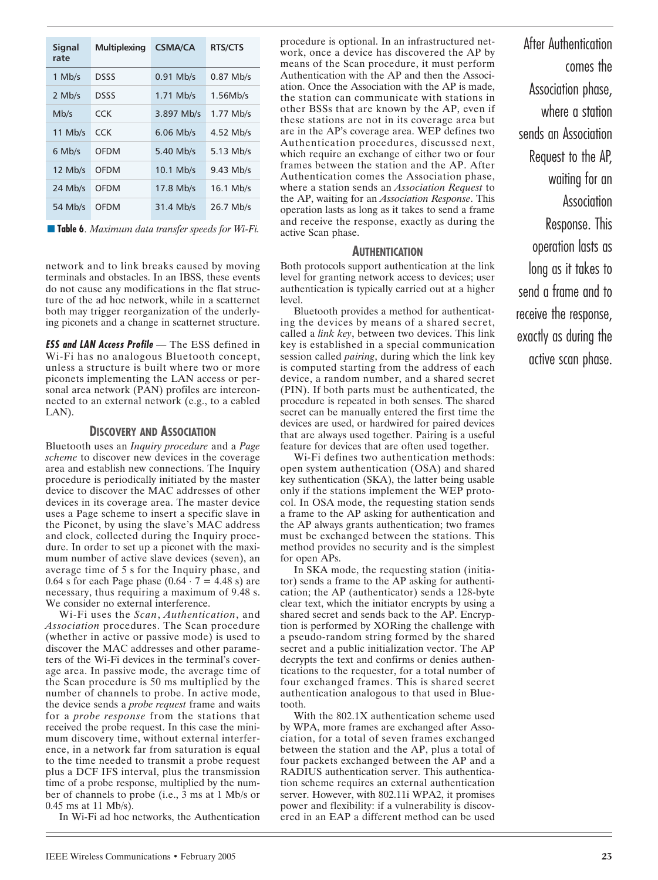| Signal<br>rate | <b>Multiplexing</b> | <b>CSMA/CA</b> | <b>RTS/CTS</b> |
|----------------|---------------------|----------------|----------------|
| 1 Mb/s         | DSSS                | $0.91$ Mb/s    | $0.87$ Mb/s    |
| 2 Mb/s         | <b>DSSS</b>         | $1.71$ Mb/s    | 1.56Mb/s       |
| Mb/s           | <b>CCK</b>          | 3.897 Mb/s     | 1.77 Mb/s      |
| $11$ Mb/s      | <b>CCK</b>          | $6.06$ Mb/s    | $4.52$ Mb/s    |
| 6 Mb/s         | <b>OFDM</b>         | 5.40 Mb/s      | $5.13$ Mb/s    |
| $12$ Mb/s      | <b>OFDM</b>         | $10.1$ Mb/s    | $9.43$ Mb/s    |
| $24$ Mb/s      | <b>OFDM</b>         | 17.8 Mb/s      | 16.1 Mb/s      |
| 54 Mb/s        | <b>OFDM</b>         | 31.4 Mb/s      | 26.7 Mb/s      |

■ **Table 6**. *Maximum data transfer speeds for Wi-Fi.* 

network and to link breaks caused by moving terminals and obstacles. In an IBSS, these events do not cause any modifications in the flat structure of the ad hoc network, while in a scatternet both may trigger reorganization of the underlying piconets and a change in scatternet structure.

**ESS and LAN Access Profile** — The ESS defined in Wi-Fi has no analogous Bluetooth concept, unless a structure is built where two or more piconets implementing the LAN access or personal area network (PAN) profiles are interconnected to an external network (e.g., to a cabled LAN).

## **DISCOVERY AND ASSOCIATION**

Bluetooth uses an *Inquiry procedure* and a *Page scheme* to discover new devices in the coverage area and establish new connections. The Inquiry procedure is periodically initiated by the master device to discover the MAC addresses of other devices in its coverage area. The master device uses a Page scheme to insert a specific slave in the Piconet, by using the slave's MAC address and clock, collected during the Inquiry procedure. In order to set up a piconet with the maximum number of active slave devices (seven), an average time of 5 s for the Inquiry phase, and 0.64 s for each Page phase  $(0.64 \cdot 7 = 4.48 \text{ s})$  are necessary, thus requiring a maximum of 9.48 s. We consider no external interference.

Wi-Fi uses the *Scan*, *Authentication*, and *Association* procedures. The Scan procedure (whether in active or passive mode) is used to discover the MAC addresses and other parameters of the Wi-Fi devices in the terminal's coverage area. In passive mode, the average time of the Scan procedure is 50 ms multiplied by the number of channels to probe. In active mode, the device sends a *probe request* frame and waits for a *probe response* from the stations that received the probe request. In this case the minimum discovery time, without external interference, in a network far from saturation is equal to the time needed to transmit a probe request plus a DCF IFS interval, plus the transmission time of a probe response, multiplied by the number of channels to probe (i.e., 3 ms at 1 Mb/s or 0.45 ms at 11 Mb/s).

In Wi-Fi ad hoc networks, the Authentication

procedure is optional. In an infrastructured network, once a device has discovered the AP by means of the Scan procedure, it must perform Authentication with the AP and then the Association. Once the Association with the AP is made, the station can communicate with stations in other BSSs that are known by the AP, even if these stations are not in its coverage area but are in the AP's coverage area. WEP defines two Authentication procedures, discussed next, which require an exchange of either two or four frames between the station and the AP. After Authentication comes the Association phase, where a station sends an *Association Request* to the AP, waiting for an *Association Response*. This operation lasts as long as it takes to send a frame and receive the response, exactly as during the active Scan phase.

## **AUTHENTICATION**

Both protocols support authentication at the link level for granting network access to devices; user authentication is typically carried out at a higher level.

Bluetooth provides a method for authenticating the devices by means of a shared secret, called a *link key*, between two devices. This link key is established in a special communication session called *pairing*, during which the link key is computed starting from the address of each device, a random number, and a shared secret (PIN). If both parts must be authenticated, the procedure is repeated in both senses. The shared secret can be manually entered the first time the devices are used, or hardwired for paired devices that are always used together. Pairing is a useful feature for devices that are often used together.

Wi-Fi defines two authentication methods: open system authentication (OSA) and shared key suthentication (SKA), the latter being usable only if the stations implement the WEP protocol. In OSA mode, the requesting station sends a frame to the AP asking for authentication and the AP always grants authentication; two frames must be exchanged between the stations. This method provides no security and is the simplest for open APs.

In SKA mode, the requesting station (initiator) sends a frame to the AP asking for authentication; the AP (authenticator) sends a 128-byte clear text, which the initiator encrypts by using a shared secret and sends back to the AP. Encryption is performed by XORing the challenge with a pseudo-random string formed by the shared secret and a public initialization vector. The AP decrypts the text and confirms or denies authentications to the requester, for a total number of four exchanged frames. This is shared secret authentication analogous to that used in Bluetooth.

With the 802.1X authentication scheme used by WPA, more frames are exchanged after Association, for a total of seven frames exchanged between the station and the AP, plus a total of four packets exchanged between the AP and a RADIUS authentication server. This authentication scheme requires an external authentication server. However, with 802.11i WPA2, it promises power and flexibility: if a vulnerability is discovered in an EAP a different method can be used

After Authentication comes the Association phase, where a station sends an Association Request to the AP, waiting for an Association Response. This operation lasts as long as it takes to send a frame and to receive the response, exactly as during the active scan phase.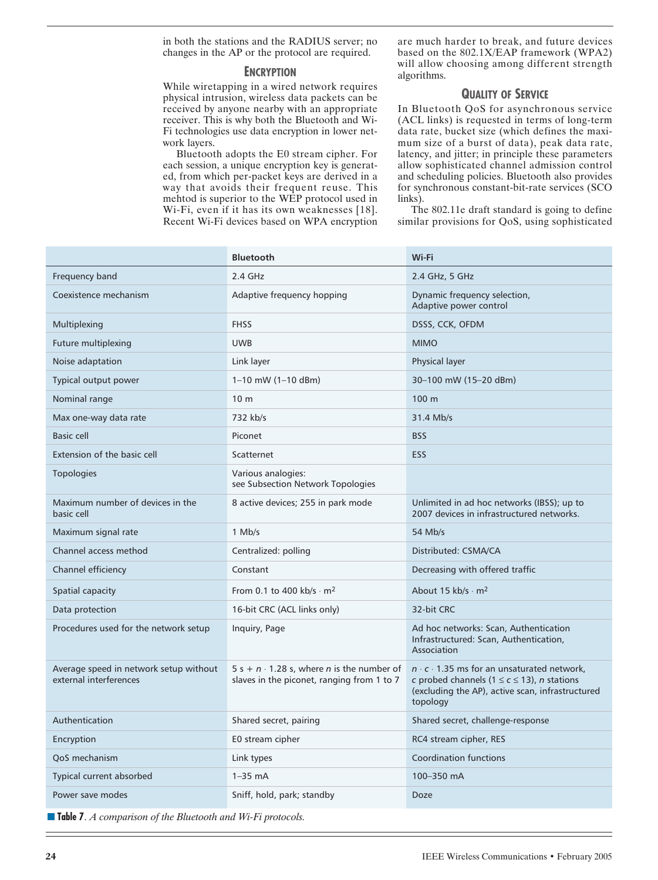in both the stations and the RADIUS server; no changes in the AP or the protocol are required.

#### **ENCRYPTION**

While wiretapping in a wired network requires physical intrusion, wireless data packets can be received by anyone nearby with an appropriate receiver. This is why both the Bluetooth and Wi-Fi technologies use data encryption in lower network layers.

Bluetooth adopts the E0 stream cipher. For each session, a unique encryption key is generated, from which per-packet keys are derived in a way that avoids their frequent reuse. This mehtod is superior to the WEP protocol used in Wi-Fi, even if it has its own weaknesses [18]. Recent Wi-Fi devices based on WPA encryption are much harder to break, and future devices based on the 802.1X/EAP framework (WPA2) will allow choosing among different strength algorithms.

### **QUALITY OF SERVICE**

In Bluetooth QoS for asynchronous service (ACL links) is requested in terms of long-term data rate, bucket size (which defines the maximum size of a burst of data), peak data rate, latency, and jitter; in principle these parameters allow sophisticated channel admission control and scheduling policies. Bluetooth also provides for synchronous constant-bit-rate services (SCO links).

The 802.11e draft standard is going to define similar provisions for QoS, using sophisticated

|                                                                    | <b>Bluetooth</b>                                                                                       | Wi-Fi                                                                                                                                                                              |  |  |  |
|--------------------------------------------------------------------|--------------------------------------------------------------------------------------------------------|------------------------------------------------------------------------------------------------------------------------------------------------------------------------------------|--|--|--|
| Frequency band                                                     | $2.4$ GHz                                                                                              | 2.4 GHz, 5 GHz                                                                                                                                                                     |  |  |  |
| Coexistence mechanism                                              | Adaptive frequency hopping                                                                             | Dynamic frequency selection,<br>Adaptive power control                                                                                                                             |  |  |  |
| Multiplexing                                                       | <b>FHSS</b>                                                                                            | DSSS, CCK, OFDM                                                                                                                                                                    |  |  |  |
| Future multiplexing                                                | <b>UWB</b>                                                                                             | <b>MIMO</b>                                                                                                                                                                        |  |  |  |
| Noise adaptation                                                   | Link layer                                                                                             | Physical layer                                                                                                                                                                     |  |  |  |
| Typical output power                                               | $1-10$ mW $(1-10$ dBm)                                                                                 | 30-100 mW (15-20 dBm)                                                                                                                                                              |  |  |  |
| Nominal range                                                      | 10 <sub>m</sub>                                                                                        | 100 <sub>m</sub>                                                                                                                                                                   |  |  |  |
| Max one-way data rate                                              | 732 kb/s                                                                                               | 31.4 Mb/s                                                                                                                                                                          |  |  |  |
| <b>Basic cell</b>                                                  | Piconet                                                                                                | <b>BSS</b>                                                                                                                                                                         |  |  |  |
| Extension of the basic cell                                        | Scatternet                                                                                             | ESS                                                                                                                                                                                |  |  |  |
| <b>Topologies</b>                                                  | Various analogies:<br>see Subsection Network Topologies                                                |                                                                                                                                                                                    |  |  |  |
| Maximum number of devices in the<br>basic cell                     | 8 active devices; 255 in park mode                                                                     | Unlimited in ad hoc networks (IBSS); up to<br>2007 devices in infrastructured networks.                                                                                            |  |  |  |
| Maximum signal rate                                                | 1 Mb/s                                                                                                 | 54 Mb/s                                                                                                                                                                            |  |  |  |
| Channel access method                                              | Centralized: polling                                                                                   | Distributed: CSMA/CA                                                                                                                                                               |  |  |  |
| Channel efficiency                                                 | Constant                                                                                               | Decreasing with offered traffic                                                                                                                                                    |  |  |  |
| Spatial capacity                                                   | From 0.1 to 400 kb/s $\cdot$ m <sup>2</sup>                                                            | About 15 kb/s $\cdot$ m <sup>2</sup>                                                                                                                                               |  |  |  |
| Data protection                                                    | 16-bit CRC (ACL links only)                                                                            | 32-bit CRC                                                                                                                                                                         |  |  |  |
| Procedures used for the network setup                              | Inquiry, Page                                                                                          | Ad hoc networks: Scan, Authentication<br>Infrastructured: Scan, Authentication,<br>Association                                                                                     |  |  |  |
| Average speed in network setup without<br>external interferences   | $5 s + n \cdot 1.28 s$ , where <i>n</i> is the number of<br>slaves in the piconet, ranging from 1 to 7 | $n \cdot c \cdot 1.35$ ms for an unsaturated network,<br>c probed channels ( $1 \le c \le 13$ ), <i>n</i> stations<br>(excluding the AP), active scan, infrastructured<br>topology |  |  |  |
| Authentication                                                     | Shared secret, pairing                                                                                 | Shared secret, challenge-response                                                                                                                                                  |  |  |  |
| Encryption                                                         | E0 stream cipher                                                                                       | RC4 stream cipher, RES                                                                                                                                                             |  |  |  |
| QoS mechanism                                                      | Link types                                                                                             | <b>Coordination functions</b>                                                                                                                                                      |  |  |  |
| Typical current absorbed                                           | $1-35$ mA                                                                                              | 100-350 mA                                                                                                                                                                         |  |  |  |
| Power save modes                                                   | Sniff, hold, park; standby                                                                             | Doze                                                                                                                                                                               |  |  |  |
| <b>Table 7.</b> A comparison of the Bluetooth and Wi-Fi protocols. |                                                                                                        |                                                                                                                                                                                    |  |  |  |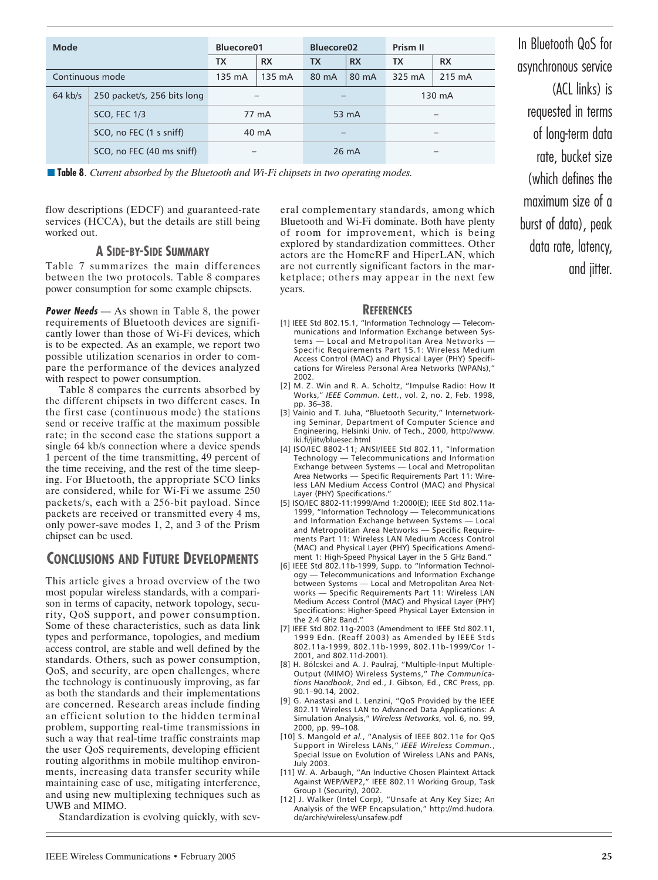| <b>Mode</b>     |                             | Bluecore01 |                  | Bluecore02      |           | Prism II  |           |
|-----------------|-----------------------------|------------|------------------|-----------------|-----------|-----------|-----------|
|                 |                             | TX         | <b>RX</b>        | <b>TX</b>       | <b>RX</b> | <b>TX</b> | <b>RX</b> |
| Continuous mode |                             | 135 mA     | $135 \text{ mA}$ | 80 mA           | 80 mA     | 325 mA    | 215 mA    |
| $64$ kb/s       | 250 packet/s, 256 bits long | -          |                  |                 |           | 130 mA    |           |
|                 | <b>SCO, FEC 1/3</b>         | 77 mA      |                  | 53 mA           |           | -         |           |
|                 | SCO, no FEC (1 s sniff)     | 40 mA      |                  |                 |           | -         |           |
|                 | SCO, no FEC (40 ms sniff)   |            |                  | $26 \text{ mA}$ |           |           |           |

n **Table 8**. *Current absorbed by the Bluetooth and Wi-Fi chipsets in two operating modes.*

flow descriptions (EDCF) and guaranteed-rate services (HCCA), but the details are still being worked out.

## **A SIDE-BY-SIDE SUMMARY**

Table 7 summarizes the main differences between the two protocols. Table 8 compares power consumption for some example chipsets.

**Power Needs** — As shown in Table 8, the power requirements of Bluetooth devices are significantly lower than those of Wi-Fi devices, which is to be expected. As an example, we report two possible utilization scenarios in order to compare the performance of the devices analyzed with respect to power consumption.

Table 8 compares the currents absorbed by the different chipsets in two different cases. In the first case (continuous mode) the stations send or receive traffic at the maximum possible rate; in the second case the stations support a single 64 kb/s connection where a device spends 1 percent of the time transmitting, 49 percent of the time receiving, and the rest of the time sleeping. For Bluetooth, the appropriate SCO links are considered, while for Wi-Fi we assume 250 packets/s, each with a 256-bit payload. Since packets are received or transmitted every 4 ms, only power-save modes 1, 2, and 3 of the Prism chipset can be used.

# **CONCLUSIONS AND FUTURE DEVELOPMENTS**

This article gives a broad overview of the two most popular wireless standards, with a comparison in terms of capacity, network topology, security, QoS support, and power consumption. Some of these characteristics, such as data link types and performance, topologies, and medium access control, are stable and well defined by the standards. Others, such as power consumption, QoS, and security, are open challenges, where the technology is continuously improving, as far as both the standards and their implementations are concerned. Research areas include finding an efficient solution to the hidden terminal problem, supporting real-time transmissions in such a way that real-time traffic constraints map the user QoS requirements, developing efficient routing algorithms in mobile multihop environments, increasing data transfer security while maintaining ease of use, mitigating interference, and using new multiplexing techniques such as UWB and MIMO.

Standardization is evolving quickly, with sev-

eral complementary standards, among which Bluetooth and Wi-Fi dominate. Both have plenty of room for improvement, which is being explored by standardization committees. Other actors are the HomeRF and HiperLAN, which are not currently significant factors in the marketplace; others may appear in the next few years.

## **REFERENCES**

- [1] IEEE Std 802.15.1, "Information Technology Telecommunications and Information Exchange between Systems — Local and Metropolitan Area Networks — Specific Requirements Part 15.1: Wireless Medium Access Control (MAC) and Physical Layer (PHY) Specifications for Wireless Personal Area Networks (WPANs)," 2002.
- [2] M. Z. Win and R. A. Scholtz, "Impulse Radio: How It Works," *IEEE Commun. Lett.*, vol. 2, no. 2, Feb. 1998, pp. 36–38.
- [3] Vainio and T. Juha, "Bluetooth Security," Internetworking Seminar, Department of Computer Science and Engineering, Helsinki Univ. of Tech., 2000, http://www. iki.fi/jiitv/bluesec.html
- [4] ISO/IEC 8802-11; ANSI/IEEE Std 802.11, "Information Technology — Telecommunications and Information Exchange between Systems — Local and Metropolitan Area Networks — Specific Requirements Part 11: Wireless LAN Medium Access Control (MAC) and Physical Laver (PHY) Specifications.
- [5] ISO/IEC 8802-11:1999/Amd 1:2000(E); IEEE Std 802.11a-1999, "Information Technology — Telecommunications and Information Exchange between Systems — Local and Metropolitan Area Networks — Specific Requirements Part 11: Wireless LAN Medium Access Control (MAC) and Physical Layer (PHY) Specifications Amendment 1: High-Speed Physical Layer in the 5 GHz Band."
- [6] IEEE Std 802.11b-1999, Supp. to "Information Technology — Telecommunications and Information Exchange between Systems — Local and Metropolitan Area Networks — Specific Requirements Part 11: Wireless LAN Medium Access Control (MAC) and Physical Layer (PHY) Specifications: Higher-Speed Physical Layer Extension in the 2.4 GHz Band."
- [7] IEEE Std 802.11g-2003 (Amendment to IEEE Std 802.11, 1999 Edn. (Reaff 2003) as Amended by IEEE Stds 802.11a-1999, 802.11b-1999, 802.11b-1999/Cor 1- 2001, and 802.11d-2001).
- [8] H. Bölcskei and A. J. Paulraj, "Multiple-Input Multiple-Output (MIMO) Wireless Systems," *The Communications Handbook*, 2nd ed., J. Gibson, Ed., CRC Press, pp. 90.1–90.14, 2002.
- [9] G. Anastasi and L. Lenzini, "QoS Provided by the IEEE 802.11 Wireless LAN to Advanced Data Applications: A Simulation Analysis," *Wireless Networks*, vol. 6, no. 99, 2000, pp. 99–108.
- [10] S. Mangold *et al.*, "Analysis of IEEE 802.11e for QoS Support in Wireless LANs," *IEEE Wireless Commun.*, Special Issue on Evolution of Wireless LANs and PANs, July 2003.
- [11] W. A. Arbaugh, "An Inductive Chosen Plaintext Attack Against WEP/WEP2," IEEE 802.11 Working Group, Task Group I (Security), 2002.
- [12] J. Walker (Intel Corp), "Unsafe at Any Key Size; An Analysis of the WEP Encapsulation," http://md.hudora. de/archiv/wireless/unsafew.pdf

In Bluetooth QoS for asynchronous service (ACL links) is requested in terms of long-term data rate, bucket size (which defines the maximum size of a burst of data), peak data rate, latency, and jitter.